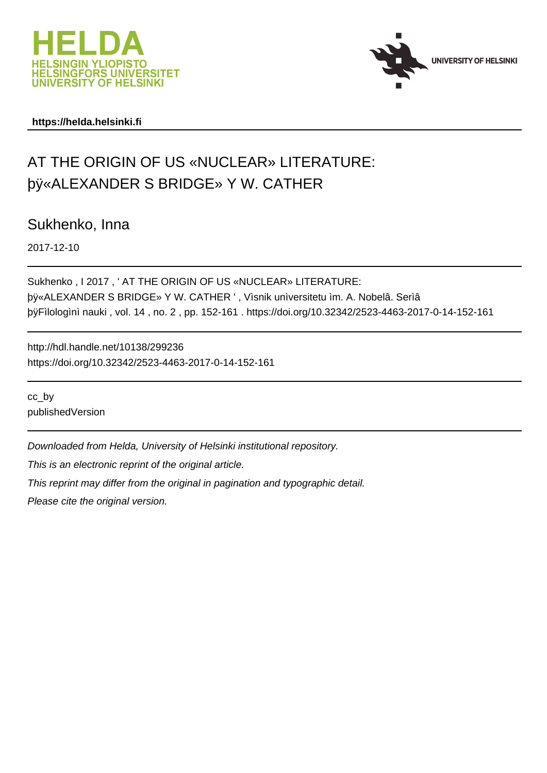



### **https://helda.helsinki.fi**

# AT THE ORIGIN OF US «NUCLEAR» LITERATURE: þÿ«ALEXANDER S BRIDGE» Y W. CATHER

Sukhenko, Inna

2017-12-10

Sukhenko , I 2017 , ' AT THE ORIGIN OF US «NUCLEAR» LITERATURE: by «ALEXANDER S BRIDGE» Y W. CATHER ', Vìsnik unìversitetu ìm. A. þÿFìlologì nì nauki, vol. 14, no. 2, pp. 152-161. https://doi.org/10.32

http://hdl.handle.net/10138/299236 https://doi.org/10.32342/2523-4463-2017-0-14-152-161

cc\_by publishedVersion

Downloaded from Helda, University of Helsinki institutional repository.

This is an electronic reprint of the original article.

This reprint may differ from the original in pagination and typographic detail.

Please cite the original version.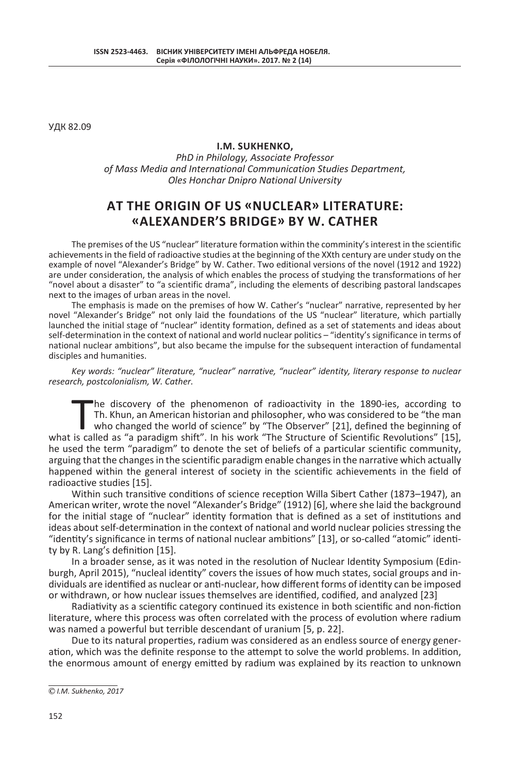УДК 82.09

### **I.M. SUKHENKO,**

*PhD in Philology, Associate Professor of Mass Media and International Communication Studies Department, Oles Honchar Dnipro National University*

## **AT THE ORIGIN OF US «NUCLEAR» LITERATURE: «ALEXANDER'S BRIDGE» ВY W. CATHER**

The premises of the US "nuclear" literature formation within the comminity's interest in the scientific achievements in the field of radioactive studies at the beginning of the XXth century are under study on the example of novel "Alexander's Bridge" by W. Cather. Two editional versions of the novel (1912 and 1922) are under consideration, the analysis of which enables the process of studying the transformations of her "novel about a disaster" to "a scientific drama", including the elements of describing pastoral landscapes next to the images of urban areas in the novel.

The emphasis is made on the premises of how W. Cather's "nuclear" narrative, represented by her novel "Alexander's Bridge" not only laid the foundations of the US "nuclear" literature, which partially launched the initial stage of "nuclear" identity formation, defined as a set of statements and ideas about self-determination in the context of national and world nuclear politics – "identity's significance in terms of national nuclear ambitions", but also became the impulse for the subsequent interaction of fundamental disciples and humanities.

*Key words: "nuclear" literature, "nuclear" narrative, "nuclear" identity, literary response to nuclear research, postcolonialism, W. Cather.*

 $\prod_{\text{is ca}}$ he discovery of the phenomenon of radioactivity in the 1890-ies, according to Th. Khun, an American historian and philosopher, who was considered to be "the man who changed the world of science" by "The Observer" [21], defined the beginning of what is called as "a paradigm shift". In his work "The Structure of Scientific Revolutions" [15], he used the term "paradigm" to denote the set of beliefs of a particular scientific community, arguing that the changes in the scientific paradigm enable changes in the narrative which actually happened within the general interest of society in the scientific achievements in the field of radioactive studies [15].

Within such transitive conditions of science reception Willa Sibert Cather (1873–1947), an American writer, wrote the novel "Alexander's Bridge" (1912) [6], where she laid the background for the initial stage of "nuclear" identity formation that is defined as a set of institutions and ideas about self-determination in the context of national and world nuclear policies stressing the "identity's significance in terms of national nuclear ambitions" [13], or so-called "atomic" identity by R. Lang's definition [15].

In a broader sense, as it was noted in the resolution of Nuclear Identity Symposium (Edinburgh, April 2015), "nucleal identity" covers the issues of how much states, social groups and individuals are identified as nuclear or anti-nuclear, how different forms of identity can be imposed or withdrawn, or how nuclear issues themselves are identified, codified, and analyzed [23]

Radiativity as a scientific category continued its existence in both scientific and non-fiction literature, where this process was often correlated with the process of evolution where radium was named a powerful but terrible descendant of uranium [5, p. 22].

Due to its natural properties, radium was considered as an endless source of energy generation, which was the definite response to the attempt to solve the world problems. In addition, the enormous amount of energy emitted by radium was explained by its reaction to unknown

*I.M. Sukhenko, 2017*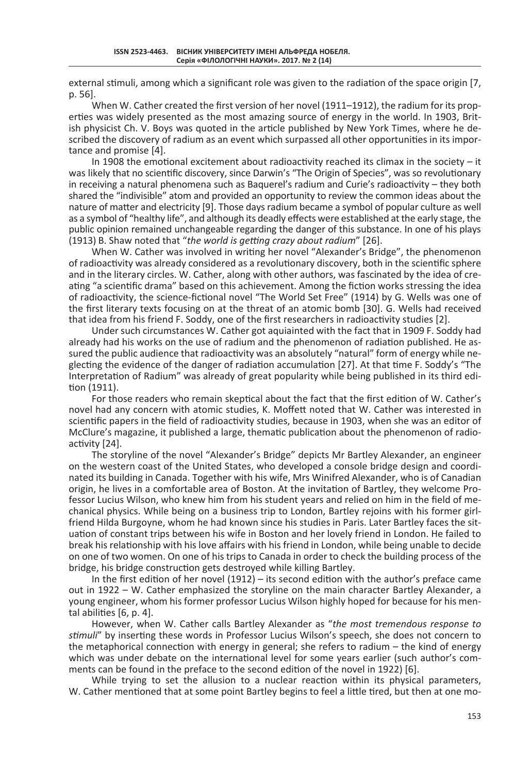external stimuli, among which a significant role was given to the radiation of the space origin [7, p. 56].

When W. Cather created the first version of her novel (1911–1912), the radium for its properties was widely presented as the most amazing source of energy in the world. In 1903, British physicist Ch. V. Boys was quoted in the article published by New York Times, where he described the discovery of radium as an event which surpassed all other opportunities in its importance and promise [4].

In 1908 the emotional excitement about radioactivity reached its climax in the society – it was likely that no scientific discovery, since Darwin's "The Origin of Species", was so revolutionary in receiving a natural phenomena such as Baquerel's radium and Curie's radioactivity – they both shared the "indivisible" atom and provided an opportunity to review the common ideas about the nature of matter and electricity [9]. Those days radium became a symbol of popular culture as well as a symbol of "healthy life", and although its deadly effects were established at the early stage, the public opinion remained unchangeable regarding the danger of this substance. In one of his plays (1913) B. Shaw noted that "*the world is getting crazy about radium*" [26].

When W. Cather was involved in writing her novel "Alexander's Bridge", the phenomenon of radioactivity was already considered as a revolutionary discovery, both in the scientific sphere and in the literary circles. W. Cather, along with other authors, was fascinated by the idea of creating "a scientific drama" based on this achievement. Among the fiction works stressing the idea of radioactivity, the science-fictional novel "The World Set Free" (1914) by G. Wells was one of the first literary texts focusing on at the threat of an atomic bomb [30]. G. Wells had received that idea from his friend F. Soddy, one of the first researchers in radioactivity studies [2].

Under such circumstances W. Cather got aquiainted with the fact that in 1909 F. Soddy had already had his works on the use of radium and the phenomenon of radiation published. He assured the public audience that radioactivity was an absolutely "natural" form of energy while neglecting the evidence of the danger of radiation accumulation [27]. At that time F. Soddy's "The Interpretation of Radium" was already of great popularity while being published in its third edition (1911).

For those readers who remain skeptical about the fact that the first edition of W. Cather's novel had any concern with atomic studies, K. Moffett noted that W. Cather was interested in scientific papers in the field of radioactivity studies, because in 1903, when she was an editor of McClure's magazine, it published a large, thematic publication about the phenomenon of radioactivity [24].

The storyline of the novel "Alexander's Bridge" depicts Mr Bartley Alexander, an engineer on the western coast of the United States, who developed a console bridge design and coordinated its building in Canada. Together with his wife, Mrs Winifred Alexander, who is of Canadian origin, he lives in a comfortable area of Boston. At the invitation of Bartley, they welcome Professor Lucius Wilson, who knew him from his student years and relied on him in the field of mechanical physics. While being on a business trip to London, Bartley rejoins with his former girlfriend Hilda Burgoyne, whom he had known since his studies in Paris. Later Bartley faces the situation of constant trips between his wife in Boston and her lovely friend in London. He failed to break his relationship with his love affairs with his friend in London, while being unable to decide on one of two women. On one of his trips to Canada in order to check the building process of the bridge, his bridge construction gets destroyed while killing Bartley.

In the first edition of her novel (1912) – its second edition with the author's preface came out in 1922 – W. Cather emphasized the storyline on the main character Bartley Alexander, a young engineer, whom his former professor Lucius Wilson highly hoped for because for his mental abilities [6, p. 4].

However, when W. Cather calls Bartley Alexander as "*the most tremendous response to stimuli*" by inserting these words in Professor Lucius Wilson's speech, she does not concern to the metaphorical connection with energy in general; she refers to radium – the kind of energy which was under debate on the international level for some years earlier (such author's comments can be found in the preface to the second edition of the novel in 1922) [6].

While trying to set the allusion to a nuclear reaction within its physical parameters, W. Cather mentioned that at some point Bartley begins to feel a little tired, but then at one mo-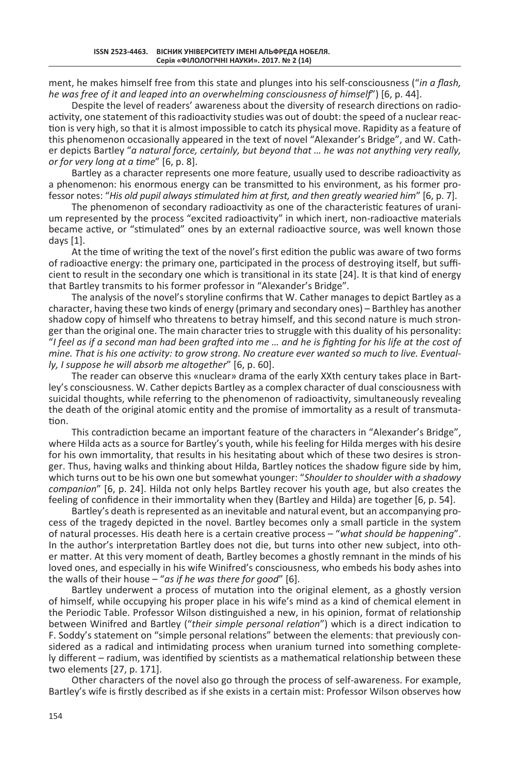ment, he makes himself free from this state and plunges into his self-consciousness ("*in a flash, he was free of it and leaped into an overwhelming consciousness of himself*") [6, p. 44].

Despite the level of readers' awareness about the diversity of research directions on radioactivity, one statement of this radioactivity studies was out of doubt: the speed of a nuclear reaction is very high, so that it is almost impossible to catch its physical move. Rapidity as a feature of this phenomenon occasionally appeared in the text of novel "Alexander's Bridge", and W. Cather depicts Bartley "*a natural force, certainly, but beyond that … he was not anything very really, or for very long at a time*" [6, p. 8].

Bartley as a character represents one more feature, usually used to describe radioactivity as a phenomenon: his enormous energy can be transmitted to his environment, as his former professor notes: "*His old pupil always stimulated him at first, and then greatly wearied him*" [6, p. 7].

The phenomenon of secondary radioactivity as one of the characteristic features of uranium represented by the process "excited radioactivity" in which inert, non-radioactive materials became active, or "stimulated" ones by an external radioactive source, was well known those days [1].

At the time of writing the text of the novel's first edition the public was aware of two forms of radioactive energy: the primary one, participated in the process of destroying itself, but sufficient to result in the secondary one which is transitional in its state [24]. It is that kind of energy that Bartley transmits to his former professor in "Alexander's Bridge".

The analysis of the novel's storyline confirms that W. Cather manages to depict Bartley as a character, having these two kinds of energy (primary and secondary ones) – Barthley has another shadow copy of himself who threatens to betray himself, and this second nature is much stronger than the original one. The main character tries to struggle with this duality of his personality: "*I feel as if a second man had been grafted into me … and he is fighting for his life at the cost of mine. That is his one activity: to grow strong. No creature ever wanted so much to live. Eventually, I suppose he will absorb me altogether*" [6, p. 60].

The reader can observe this «nuclear» drama of the early XXth century takes place in Bartley's consciousness. W. Cather depicts Bartley as a complex character of dual consciousness with suicidal thoughts, while referring to the phenomenon of radioactivity, simultaneously revealing the death of the original atomic entity and the promise of immortality as a result of transmutation.

This contradiction became an important feature of the characters in "Alexander's Bridge", where Hilda acts as a source for Bartley's youth, while his feeling for Hilda merges with his desire for his own immortality, that results in his hesitating about which of these two desires is stronger. Thus, having walks and thinking about Hilda, Bartley notices the shadow figure side by him, which turns out to be his own one but somewhat younger: "*Shoulder to shoulder with a shadowy companion*" [6, p. 24]. Hilda not only helps Bartley recover his youth age, but also creates the feeling of confidence in their immortality when they (Bartley and Hilda) are together [6, p. 54].

Bartley's death is represented as an inevitable and natural event, but an accompanying process of the tragedy depicted in the novel. Bartley becomes only a small particle in the system of natural processes. His death here is a certain creative process – "*what should be happening*". In the author's interpretation Bartley does not die, but turns into other new subject, into other matter. At this very moment of death, Bartley becomes a ghostly remnant in the minds of his loved ones, and especially in his wife Winifred's consciousness, who embeds his body ashes into the walls of their house – "*as if he was there for good*" [6].

Bartley underwent a process of mutation into the original element, as a ghostly version of himself, while occupying his proper place in his wife's mind as a kind of chemical element in the Periodic Table. Professor Wilson distinguished a new, in his opinion, format of relationship between Winifred and Bartley ("*their simple personal relation*") which is a direct indication to F. Soddy's statement on "simple personal relations" between the elements: that previously considered as a radical and intimidating process when uranium turned into something completely different – radium, was identified by scientists as a mathematical relationship between these two elements [27, p. 171].

Other characters of the novel also go through the process of self-awareness. For example, Bartley's wife is firstly described as if she exists in a certain mist: Professor Wilson observes how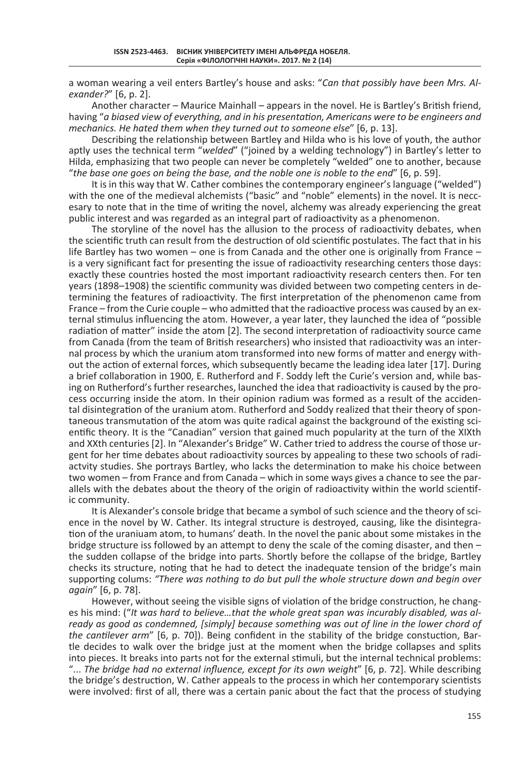a woman wearing a veil enters Bartley's house and asks: "*Can that possibly have been Mrs. Alexander?*" [6, p. 2].

Another character – Maurice Mainhall – appears in the novel. He is Bartley's British friend, having "*a biased view of everything, and in his presentation, Americans were to be engineers and mechanics. He hated them when they turned out to someone else*" [6, p. 13].

Describing the relationship between Bartley and Hilda who is his love of youth, the author aptly uses the technical term "*welded*" ("joined by a welding technology") in Bartley's letter to Hilda, emphasizing that two people can never be completely "welded" one to another, because "*the base one goes on being the base, and the noble one is noble to the end*" [6, p. 59].

It is in this way that W. Cather combines the contemporary engineer's language ("welded") with the one of the medieval alchemists ("basic" and "noble" elements) in the novel. It is neccesary to note that in the time of writing the novel, alchemy was already experiencing the great public interest and was regarded as an integral part of radioactivity as a phenomenon.

The storyline of the novel has the allusion to the process of radioactivity debates, when the scientific truth can result from the destruction of old scientific postulates. The fact that in his life Bartley has two women – one is from Canada and the other one is originally from France – is a very significant fact for presenting the issue of radioactivity researching centers those days: exactly these countries hosted the most important radioactivity research centers then. For ten years (1898–1908) the scientific community was divided between two competing centers in determining the features of radioactivity. The first interpretation of the phenomenon came from France – from the Curie couple – who admitted that the radioactive process was caused by an external stimulus influencing the atom. However, a year later, they launched the idea of "possible radiation of matter" inside the atom [2]. The second interpretation of radioactivity source came from Canada (from the team of British researchers) who insisted that radioactivity was an internal process by which the uranium atom transformed into new forms of matter and energy without the action of external forces, which subsequently became the leading idea later [17]. During a brief collaboration in 1900, E. Rutherford and F. Soddy left the Curie's version and, while basing on Rutherford's further researches, launched the idea that radioactivity is caused by the process occurring inside the atom. In their opinion radium was formed as a result of the accidental disintegration of the uranium atom. Rutherford and Soddy realized that their theory of spontaneous transmutation of the atom was quite radical against the background of the existing scientific theory. It is the "Canadian" version that gained much popularity at the turn of the XIXth and XXth centuries [2]. In "Alexander's Bridge" W. Cather tried to address the course of those urgent for her time debates about radioactivity sources by appealing to these two schools of radiactvity studies. She portrays Bartley, who lacks the determination to make his choice between two women – from France and from Canada – which in some ways gives a chance to see the parallels with the debates about the theory of the origin of radioactivity within the world scientific community.

It is Alexander's console bridge that became a symbol of such science and the theory of science in the novel by W. Cather. Its integral structure is destroyed, causing, like the disintegration of the uraniuam atom, to humans' death. In the novel the panic about some mistakes in the bridge structure iss followed by an attempt to deny the scale of the coming disaster, and then the sudden collapse of the bridge into parts. Shortly before the collapse of the bridge, Bartley checks its structure, noting that he had to detect the inadequate tension of the bridge's main supporting colums: *"There was nothing to do but pull the whole structure down and begin over again*" [6, p. 78].

However, without seeing the visible signs of violation of the bridge construction, he changes his mind: ("*It was hard to believe…that the whole great span was incurably disabled, was al*ready as good as condemned, [simply] because something was out of line in the lower chord of *the cantilever arm*" [6, p. 70]). Being confident in the stability of the bridge constuction, Bartle decides to walk over the bridge just at the moment when the bridge collapses and splits into pieces. It breaks into parts not for the external stimuli, but the internal technical problems: "... *The bridge had no external influence, except for its own weight*" [6, p. 72]. While describing the bridge's destruction, W. Cather appeals to the process in which her contemporary scientists were involved: first of all, there was a certain panic about the fact that the process of studying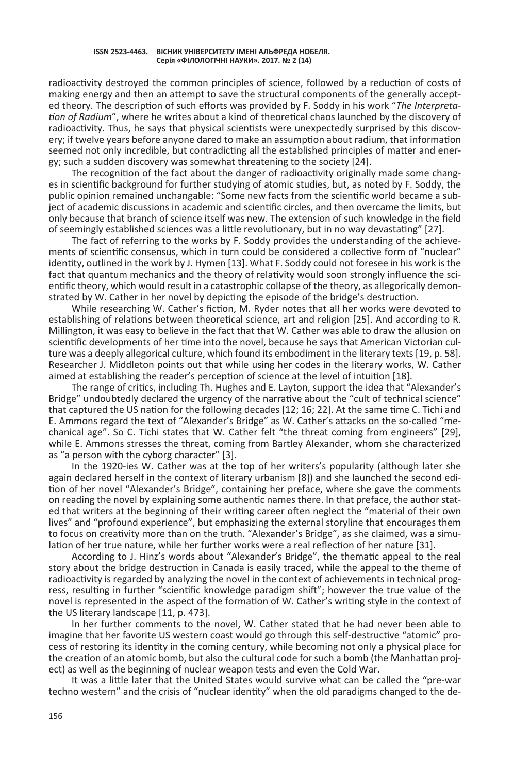radioactivity destroyed the common principles of science, followed by a reduction of costs of making energy and then an attempt to save the structural components of the generally accepted theory. The description of such efforts was provided by F. Soddy in his work "*The Interpretation of Radium*", where he writes about a kind of theoretical chaos launched by the discovery of radioactivity. Thus, he says that physical scientists were unexpectedly surprised by this discovery; if twelve years before anyone dared to make an assumption about radium, that information seemed not only incredible, but contradicting all the established principles of matter and energy; such a sudden discovery was somewhat threatening to the society [24].

The recognition of the fact about the danger of radioactivity originally made some changes in scientific background for further studying of atomic studies, but, as noted by F. Soddy, the public opinion remained unchangable: "Some new facts from the scientific world became a subject of academic discussions in academic and scientific circles, and then overcame the limits, but only because that branch of science itself was new. The extension of such knowledge in the field of seemingly established sciences was a little revolutionary, but in no way devastating" [27].

The fact of referring to the works by F. Soddy provides the understanding of the achievements of scientific consensus, which in turn could be considered a collective form of "nuclear" identity, outlined in the work by J. Hymen [13]. What F. Soddy could not foresee in his work is the fact that quantum mechanics and the theory of relativity would soon strongly influence the scientific theory, which would result in a catastrophic collapse of the theory, as allegorically demonstrated by W. Cather in her novel by depicting the episode of the bridge's destruction.

While researching W. Cather's fiction, M. Ryder notes that all her works were devoted to establishing of relations between theoretical science, art and religion [25]. And according to R. Millington, it was easy to believe in the fact that that W. Cather was able to draw the allusion on scientific developments of her time into the novel, because he says that American Victorian culture was a deeply allegorical culture, which found its embodiment in the literary texts [19, p. 58]. Researcher J. Middleton points out that while using her codes in the literary works, W. Cather aimed at establishing the reader's perception of science at the level of intuition [18].

The range of critics, including Th. Hughes and E. Layton, support the idea that "Alexander's Bridge" undoubtedly declared the urgency of the narrative about the "cult of technical science" that captured the US nation for the following decades [12; 16; 22]. At the same time C. Tichi and E. Ammons regard the text of "Alexander's Bridge" as W. Cather's attacks on the so-called "mechanical age". So C. Tichi states that W. Cather felt "the threat coming from engineers" [29], while E. Ammons stresses the threat, coming from Bartley Alexander, whom she characterized as "a person with the cyborg character" [3].

In the 1920-ies W. Cather was at the top of her writers's popularity (although later she again declared herself in the context of literary urbanism [8]) and she launched the second edition of her novel "Alexander's Bridge", containing her preface, where she gave the comments on reading the novel by explaining some authentic names there. In that preface, the author stated that writers at the beginning of their writing career often neglect the "material of their own lives" and "profound experience", but emphasizing the external storyline that encourages them to focus on creativity more than on the truth. "Alexander's Bridge", as she claimed, was a simulation of her true nature, while her further works were a real reflection of her nature [31].

According to J. Hinz's words about "Alexander's Bridge", the thematic appeal to the real story about the bridge destruction in Canada is easily traced, while the appeal to the theme of radioactivity is regarded by analyzing the novel in the context of achievements in technical progress, resulting in further "scientific knowledge paradigm shift"; however the true value of the novel is represented in the aspect of the formation of W. Cather's writing style in the context of the US literary landscape [11, p. 473].

In her further comments to the novel, W. Cather stated that he had never been able to imagine that her favorite US western coast would go through this self-destructive "atomic" process of restoring its identity in the coming century, while becoming not only a physical place for the creation of an atomic bomb, but also the cultural code for such a bomb (the Manhattan project) as well as the beginning of nuclear weapon tests and even the Cold War.

It was a little later that the United States would survive what can be called the "pre-war techno western" and the crisis of "nuclear identity" when the old paradigms changed to the de-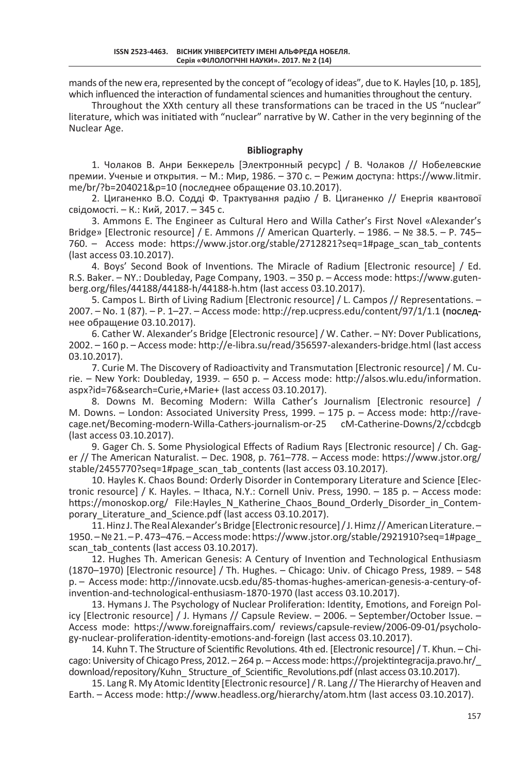mands of the new era, represented by the concept of "ecology of ideas", due to K. Hayles [10, p. 185], which influenced the interaction of fundamental sciences and humanities throughout the century.

Throughout the XXth century all these transformations can be traced in the US "nuclear" literature, which was initiated with "nuclear" narrative by W. Cather in the very beginning of the Nuclear Age.

### **Bibliography**

1. Чолаков В. Анри Беккерель [Электронный ресурс] / В. Чолаков // Нобелевские премии. Ученые и открытия. – М.: Мир, 1986. – 370 с. – Режим доступа: https://www.litmir. me/br/?b=204021&p=10 (последнее обращение 03.10.2017).

2. Циганенко В.О. Содді Ф. Трактування радію / В. Циганенко // Енергія квантової свідомості. – К.: Кий, 2017. – 345 c.

3. Ammons E. The Engineer as Cultural Hero and Willa Cather's First Novel «Alexander's Bridge» [Electronic resource] / E. Ammons // American Quarterly. – 1986. – № 38.5. – P. 745– 760. – Access mode: https://www.jstor.org/stable/2712821?seq=1#page\_scan\_tab\_contents (last access 03.10.2017).

4. Boys' Second Book of Inventions. The Miracle of Radium [Electronic resource] / Ed. R.S. Baker. – NY.: Doubleday, Page Company, 1903. – 350 p. – Access mode: https://www.gutenberg.org/files/44188/44188-h/44188-h.htm (last access 03.10.2017).

5. Campos L. Birth of Living Radium [Electronic resource] / L. Campos // Representations. – 2007. – No. 1 (87). – P. 1–27. – Access mode: http://rep.ucpress.edu/content/97/1/1.1 (последнее обращение 03.10.2017).

6. Cather W. Alexander's Bridge [Electronic resource] / W. Cather. – NY: Dover Publications, 2002. – 160 p. – Access mode: http://e-libra.su/read/356597-alexanders-bridge.html (last access 03.10.2017).

7. Curie M. The Discovery of Radioactivity and Transmutation [Electronic resource] / M. Curie. – New York: Doubleday, 1939. – 650 р. – Access mode: http://alsos.wlu.edu/information. aspx?id=76&search=Curie,+Marie+ (last access 03.10.2017).

8. Downs M. Becoming Modern: Willa Cather's Journalism [Electronic resource] / M. Downs. – London: Associated University Press, 1999. – 175 p. – Access mode: http://ravecage.net/Becoming-modern-Willa-Cathers-journalism-or-25 cM-Catherine-Downs/2/ccbdcgb (last access 03.10.2017).

9. Gager Ch. S. Some Physiological Effects of Radium Rays [Electronic resource] / Ch. Gager // The American Naturalist. – Dec. 1908, p. 761–778. – Access mode: https://www.jstor.org/ stable/2455770?seq=1#page\_scan\_tab\_contents (last access 03.10.2017).

10. Hayles K. Chaos Bound: Orderly Disorder in Contemporary Literature and Science [Electronic resource] / K. Hayles. – Ithaca, N.Y.: Cornell Univ. Press, 1990. – 185 p. – Access mode: https://monoskop.org/ File:Hayles\_N\_Katherine\_Chaos\_Bound\_Orderly\_Disorder\_in\_Contemporary Literature and Science.pdf (last access 03.10.2017).

11. Hinz J. The Real Alexander's Bridge[Electronic resource] / J. Himz// American Literature.– 1950. – № 21. – P. 473–476. –Access mode: https://www.jstor.org/stable/2921910?seq=1#page\_ scan\_tab\_contents (last access 03.10.2017).

12. Hughes Th. American Genesis: A Century of Invention and Technological Enthusiasm (1870–1970) [Electronic resource] / Th. Hughes. – Chicago: Univ. of Chicago Press, 1989. – 548 р. – Access mode: http://innovate.ucsb.edu/85-thomas-hughes-american-genesis-a-century-ofinvention-and-technological-enthusiasm-1870-1970 (last access 03.10.2017).

13. Hymans J. The Psychology of Nuclear Proliferation: Identity, Emotions, and Foreign Policy [Electronic resource] / J. Hymans // Capsule Review. – 2006. – September/October Issue. – Access mode: https://www.foreignaffairs.com/ reviews/capsule-review/2006-09-01/psychology-nuclear-proliferation-identity-emotions-and-foreign (last access 03.10.2017).

14. Kuhn T. The Structure of Scientific Revolutions. 4th ed. [Electronic resource] / T. Khun. – Chicago: University of Chicago Press, 2012. – 264 p. – Access mode: https://projektintegracija.pravo.hr/\_ download/repository/Kuhn\_ Structure\_of\_Scientific\_Revolutions.pdf (nlast access 03.10.2017).

15. Lang R. My Atomic Identity [Electronic resource] / R. Lang // The Hierarchy of Heaven and Earth. – Access mode: http://www.headless.org/hierarchy/atom.htm (last access 03.10.2017).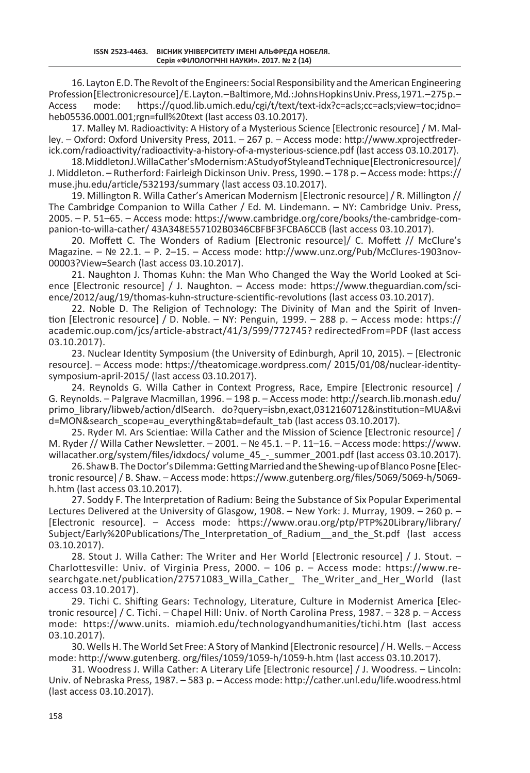16. Layton E.D. The Revolt of the Engineers: Social Responsibility and the American Engineering Profession[Electronic resource]/E. Layton.–Baltimore, Md.: Johns Hopkins Univ. Press, 1971.–275 p.–<br>Access mode: https://quod.lib.umich.edu/cgi/t/text/text-idx?c=acls:cc=acls:view=toc:idno= https://quod.lib.umich.edu/cgi/t/text/text-idx?c=acls;cc=acls;view=toc;idno= heb05536.0001.001;rgn=full%20text (last access 03.10.2017).

17. Malley M. Radioactivity: A History of a Mysterious Science [Electronic resource] / M. Malley. – Oxford: Oxford University Press, 2011. – 267 p. – Access mode: http://www.xprojectfrederick.com/radioactivity/radioactivity-a-history-of-a-mysterious-science.pdf (last access 03.10.2017).

18. Middleton J. Willa Cather's Modernism: A Study of Style and Technique[Electronic resource] / J. Middleton. – Rutherford: Fairleigh Dickinson Univ. Press, 1990. – 178 р. – Access mode: https:// muse.jhu.edu/article/532193/summary (last access 03.10.2017).

19. Millington R. Willa Cather's American Modernism [Electronic resource] / R. Millington // The Cambridge Companion to Willa Cather / Ed. M. Lindemann. – NY: Cambridge Univ. Press, 2005. – P. 51–65. – Access mode: https://www.cambridge.org/core/books/the-cambridge-companion-to-willa-cather/ 43A348E557102B0346CBFBF3FCBA6CCB (last access 03.10.2017).

20. Moffett C. The Wonders of Radium [Electronic resource]/ C. Moffett // McClure's Magazine. – № 22.1. – P. 2–15. – Access mode: http://www.unz.org/Pub/McClures-1903nov-00003?View=Search (last access 03.10.2017).

21. Naughton J. Thomas Kuhn: the Man Who Changed the Way the World Looked at Science [Electronic resource] / J. Naughton. – Access mode: https://www.theguardian.com/science/2012/aug/19/thomas-kuhn-structure-scientific-revolutions (last access 03.10.2017).

22. Noble D. The Religion of Technology: The Divinity of Man and the Spirit of Invention [Electronic resource] / D. Noble. – NY: Penguin, 1999. – 288 р. – Access mode: https:// academic.oup.com/jcs/article-abstract/41/3/599/772745? redirectedFrom=PDF (last access 03.10.2017).

23. Nuclear Identity Symposium (the University of Edinburgh, April 10, 2015). – [Electronic resource]. – Access mode: https://theatomicage.wordpress.com/ 2015/01/08/nuclear-identitysymposium-april-2015/ (last access 03.10.2017).

24. Reynolds G. Willa Cather in Context Progress, Race, Empire [Electronic resource] / G. Reynolds. – Palgrave Macmillan, 1996. – 198 p. – Access mode: http://search.lib.monash.edu/ primo\_library/libweb/action/dlSearch. do?query=isbn,exact,0312160712&institution=MUA&vi d=MON&search\_scope=au\_everything&tab=default\_tab (last access 03.10.2017).

25. Ryder M. Ars Scientiae: Willa Cather and the Mission of Science [Electronic resource] / M. Ryder // Willa Cather Newsletter. – 2001. – № 45.1. – P. 11–16. – Access mode: https://www. willacather.org/system/files/idxdocs/ volume\_45\_-\_summer\_2001.pdf (last access 03.10.2017).

26. Shaw B. The Doctor's Dilemma: Getting Married and the Shewing-up of Blanco Posne[Electronic resource] / B. Shaw. – Access mode: https://www.gutenberg.org/files/5069/5069-h/5069 h.htm (last access 03.10.2017).

27. Soddy F. The Interpretation of Radium: Being the Substance of Six Popular Experimental Lectures Delivered at the University of Glasgow, 1908. – New York: J. Murray, 1909. – 260 р. – [Electronic resource]. – Access mode: https://www.orau.org/ptp/PTP%20Library/library/ Subject/Early%20Publications/The\_Interpretation\_of\_Radium\_\_and\_the\_St.pdf (last access 03.10.2017).

28. Stout J. Willa Cather: The Writer and Her World [Electronic resource] / J. Stout. – Charlottesville: Univ. of Virginia Press, 2000. – 106 p. – Access mode: https://www.researchgate.net/publication/27571083 Willa Cather The Writer and Her World (last access 03.10.2017).

29. Tichi C. Shifting Gears: Technology, Literature, Culture in Modernist America [Electronic resource] / C. Tichi. – Chapel Hill: Univ. of North Carolina Press, 1987. – 328 р. – Access mode: https://www.units. miamioh.edu/technologyandhumanities/tichi.htm (last access 03.10.2017).

30. Wells H. The World Set Free: A Story of Mankind [Electronic resource] / H. Wells. – Access mode: http://www.gutenberg. org/files/1059/1059-h/1059-h.htm (last access 03.10.2017).

31. Woodress J. Willa Cather: A Literary Life [Electronic resource] / J. Woodress. – Lincoln: Univ. of Nebraska Press, 1987. – 583 р. – Access mode: http://cather.unl.edu/life.woodress.html (last access 03.10.2017).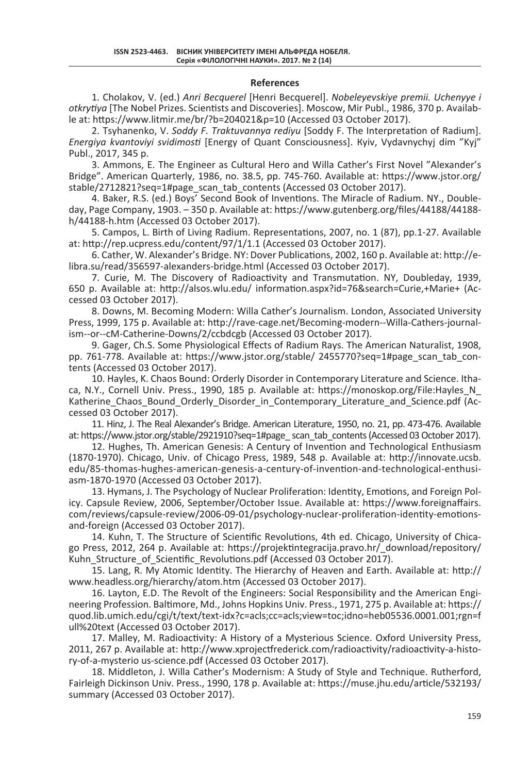#### **References**

1. Cholakov, V. (ed.) *Anri Becquerel* [Henri Becquerel]. *Nobeleyevskiye premii. Uchenyye i otkrytiya* [The Nobel Prizes. Scientists and Discoveries]. Moscow, Mir Publ., 1986, 370 p. Available at: https://www.litmir.me/br/?b=204021&p=10 (Accessed 03 October 2017).

2. Tsyhanenko, V. *Soddy F. Traktuvannya rediyu* [Soddy F. The Interpretation of Radium]. *Energiya kvantoviyi svidimosti* [Energy of Quant Consciousness]. Кyiv, Vydavnychyj dim "Kyj" Publ., 2017, 345 p.

3. Ammons, E. The Engineer as Cultural Hero and Willa Cather's First Novel "Alexander's Bridge". American Quarterly, 1986, no. 38.5, pp. 745-760. Available at: https://www.jstor.org/ stable/2712821?seq=1#page\_scan\_tab\_contents (Accessed 03 October 2017).

4. Baker, R.S. (ed.) Boys' Second Book of Inventions. The Miracle of Radium. NY., Doubleday, Page Company, 1903. – 350 p. Available at: https://www.gutenberg.org/files/44188/44188 h/44188-h.htm (Accessed 03 October 2017).

5. Campos, L. Birth of Living Radium. Representations, 2007, no. 1 (87), pp.1-27. Available at: http://rep.ucpress.edu/content/97/1/1.1 (Accessed 03 October 2017).

6. Cather, W. Alexander's Bridge. NY: Dover Publications, 2002, 160 p. Available at: http://elibra.su/read/356597-alexanders-bridge.html (Accessed 03 October 2017).

7. Curie, M. The Discovery of Radioactivity and Transmutation. NY, Doubleday, 1939, 650 p. Available at: http://alsos.wlu.edu/ information.aspx?id=76&search=Curie,+Marie+ (Accessed 03 October 2017).

8. Downs, M. Becoming Modern: Willa Cather's Journalism. London, Associated University Press, 1999, 175 p. Available at: http://rave-cage.net/Becoming-modern--Willa-Cathers-journalism--or--cM-Catherine-Downs/2/ccbdcgb (Accessed 03 October 2017).

9. Gager, Ch.S. Some Physiological Effects of Radium Rays. The American Naturalist, 1908, pp. 761-778. Available at: https://www.jstor.org/stable/ 2455770?seq=1#page\_scan\_tab\_contents (Accessed 03 October 2017).

10. Hayles, K. Chaos Bound: Orderly Disorder in Contemporary Literature and Science. Ithaca, N.Y., Cornell Univ. Press., 1990, 185 p. Available at: https://monoskop.org/File:Hayles\_N\_ Katherine Chaos Bound Orderly Disorder in Contemporary Literature and Science.pdf (Accessed 03 October 2017).

11. Hinz, J. The Real Alexander's Bridge. American Literature, 1950, no. 21, pp. 473-476. Available at: https://www.jstor.org/stable/2921910?seq=1#page\_ scan\_tab\_contents (Accessed 03 October 2017).

12. Hughes, Th. American Genesis: A Century of Invention and Technological Enthusiasm (1870-1970). Chicago, Univ. of Chicago Press, 1989, 548 p. Available at: http://innovate.ucsb. edu/85-thomas-hughes-american-genesis-a-century-of-invention-and-technological-enthusiasm-1870-1970 (Accessed 03 October 2017).

13. Hymans, J. The Psychology of Nuclear Proliferation: Identity, Emotions, and Foreign Policy. Capsule Review, 2006, September/October Issue. Available at: https://www.foreignaffairs. com/reviews/capsule-review/2006-09-01/psychology-nuclear-proliferation-identity-emotionsand-foreign (Accessed 03 October 2017).

14. Kuhn, T. The Structure of Scientific Revolutions, 4th ed. Chicago, University of Chicago Press, 2012, 264 p. Available at: https://projektintegracija.pravo.hr/\_download/repository/ Kuhn Structure of Scientific Revolutions.pdf (Accessed 03 October 2017).

15. Lang, R. My Atomic Identity. The Hierarchy of Heaven and Earth. Available at: http:// www.headless.org/hierarchy/atom.htm (Accessed 03 October 2017).

16. Layton, E.D. The Revolt of the Engineers: Social Responsibility and the American Engineering Profession. Baltimore, Md., Johns Hopkins Univ. Press., 1971, 275 p. Available at: https:// quod.lib.umich.edu/cgi/t/text/text-idx?c=acls;cc=acls;view=toc;idno=heb05536.0001.001;rgn=f ull%20text (Accessed 03 October 2017).

17. Malley, M. Radioactivity: A History of a Mysterious Science. Oxford University Press, 2011, 267 p. Available at: http://www.xprojectfrederick.com/radioactivity/radioactivity-a-history-of-a-mysterio us-science.pdf (Accessed 03 October 2017).

18. Middleton, J. Willa Cather's Modernism: A Study of Style and Technique. Rutherford, Fairleigh Dickinson Univ. Press., 1990, 178 p. Available at: https://muse.jhu.edu/article/532193/ summary (Accessed 03 October 2017).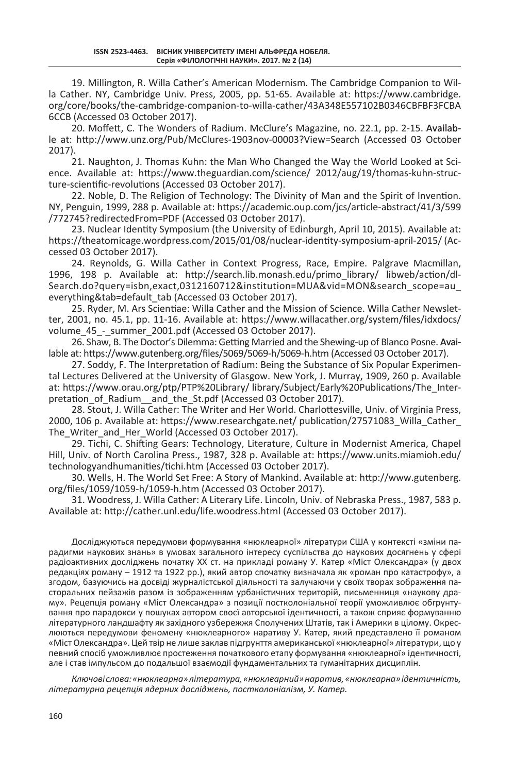19. Millington, R. Willa Cather's American Modernism. The Cambridge Companion to Willa Cather. NY, Cambridge Univ. Press, 2005, pp. 51-65. Available at: https://www.cambridge. org/core/books/the-cambridge-companion-to-willa-cather/43A348E557102B0346CBFBF3FCBA 6CCB (Accessed 03 October 2017).

20. Moffett, C. The Wonders of Radium. McClure's Magazine, no. 22.1, pp. 2-15. Available at: http://www.unz.org/Pub/McClures-1903nov-00003?View=Search (Accessed 03 October 2017).

21. Naughton, J. Thomas Kuhn: the Man Who Changed the Way the World Looked at Science. Available at: https://www.theguardian.com/science/ 2012/aug/19/thomas-kuhn-structure-scientific-revolutions (Accessed 03 October 2017).

22. Noble, D. The Religion of Technology: The Divinity of Man and the Spirit of Invention. NY, Penguin, 1999, 288 p. Available at: https://academic.oup.com/jcs/article-abstract/41/3/599 /772745?redirectedFrom=PDF (Accessed 03 October 2017).

23. Nuclear Identity Symposium (the University of Edinburgh, April 10, 2015). Available at: https://theatomicage.wordpress.com/2015/01/08/nuclear-identity-symposium-april-2015/ (Accessed 03 October 2017).

24. Reynolds, G. Willa Cather in Context Progress, Race, Empire. Palgrave Macmillan, 1996, 198 p. Available at: http://search.lib.monash.edu/primo\_library/ libweb/action/dl-Search.do?query=isbn,exact,0312160712&institution=MUA&vid=MON&search\_scope=au\_ everything&tab=default\_tab (Accessed 03 October 2017).

25. Ryder, M. Ars Scientiae: Willa Cather and the Mission of Science. Willa Cather Newsletter, 2001, no. 45.1, pp. 11-16. Available at: https://www.willacather.org/system/files/idxdocs/ volume 45 - summer 2001.pdf (Accessed 03 October 2017).

26. Shaw, B. The Doctor's Dilemma: Getting Married and the Shewing-up of Blanco Posne. Available at: https://www.gutenberg.org/files/5069/5069-h/5069-h.htm (Accessed 03 October 2017).

27. Soddy, F. The Interpretation of Radium: Being the Substance of Six Popular Experimental Lectures Delivered at the University of Glasgow. New York, J. Murray, 1909, 260 р. Available at: https://www.orau.org/ptp/PTP%20Library/ library/Subject/Early%20Publications/The\_Interpretation of Radium and the St.pdf (Accessed 03 October 2017).

28. Stout, J. Willa Cather: The Writer and Her World. Charlottesville, Univ. of Virginia Press, 2000, 106 p. Available at: https://www.researchgate.net/ publication/27571083\_Willa\_Cather\_ The Writer and Her World (Accessed 03 October 2017).

29. Tichi, C. Shifting Gears: Technology, Literature, Culture in Modernist America, Chapel Hill, Univ. of North Carolina Press., 1987, 328 p. Available at: https://www.units.miamioh.edu/ technologyandhumanities/tichi.htm (Accessed 03 October 2017).

30. Wells, H. The World Set Free: A Story of Mankind. Available at: http://www.gutenberg. org/files/1059/1059-h/1059-h.htm (Accessed 03 October 2017).

31. Woodress, J. Willa Cather: A Literary Life. Lincoln, Univ. of Nebraska Press., 1987, 583 p. Available at: http://cather.unl.edu/life.woodress.html (Accessed 03 October 2017).

Досліджуються передумови формування «нюклеарної» літератури США у контексті «зміни парадигми наукових знань» в умовах загального інтересу суспільства до наукових досягнень у сфері радіоактивних досліджень початку ХХ ст. на прикладі роману У. Катер «Міст Олександра» (у двох редакціях роману – 1912 та 1922 рр.), який автор спочатку визначала як «роман про катастрофу», а згодом, базуючись на досвіді журналістської діяльності та залучаючи у своїх творах зображення пасторальних пейзажів разом із зображенням урбаністичних територій, письменниця «наукову драму». Рецепція роману «Міст Олександра» з позиції постколоніальної теорії уможливлює обгрунтування про парадокси у пошуках автором своєї авторської ідентичності, а також сприяє формуванню літературного ландшафту як західного узбережжя Сполучених Штатів, так і Америки в цілому. Окреслюються передумови феномену «нюклеарного» наративу У. Катер, який представлено її романом «Міст Олександра». Цей твір не лише заклав підгрунття американської «нюклеарної» літератури, що у певний спосіб уможливлює простеження початкового етапу формування «нюклеарної» ідентичності, але і став імпульсом до подальшої взаємодії фундаментальних та гуманітарних дисциплін.

*Ключові слова: «нюклеарна» література, «нюклеарний» наратив, «нюклеарна» ідентичність, літературна рецепція ядерних досліджень, постколоніалізм, У. Катер.*